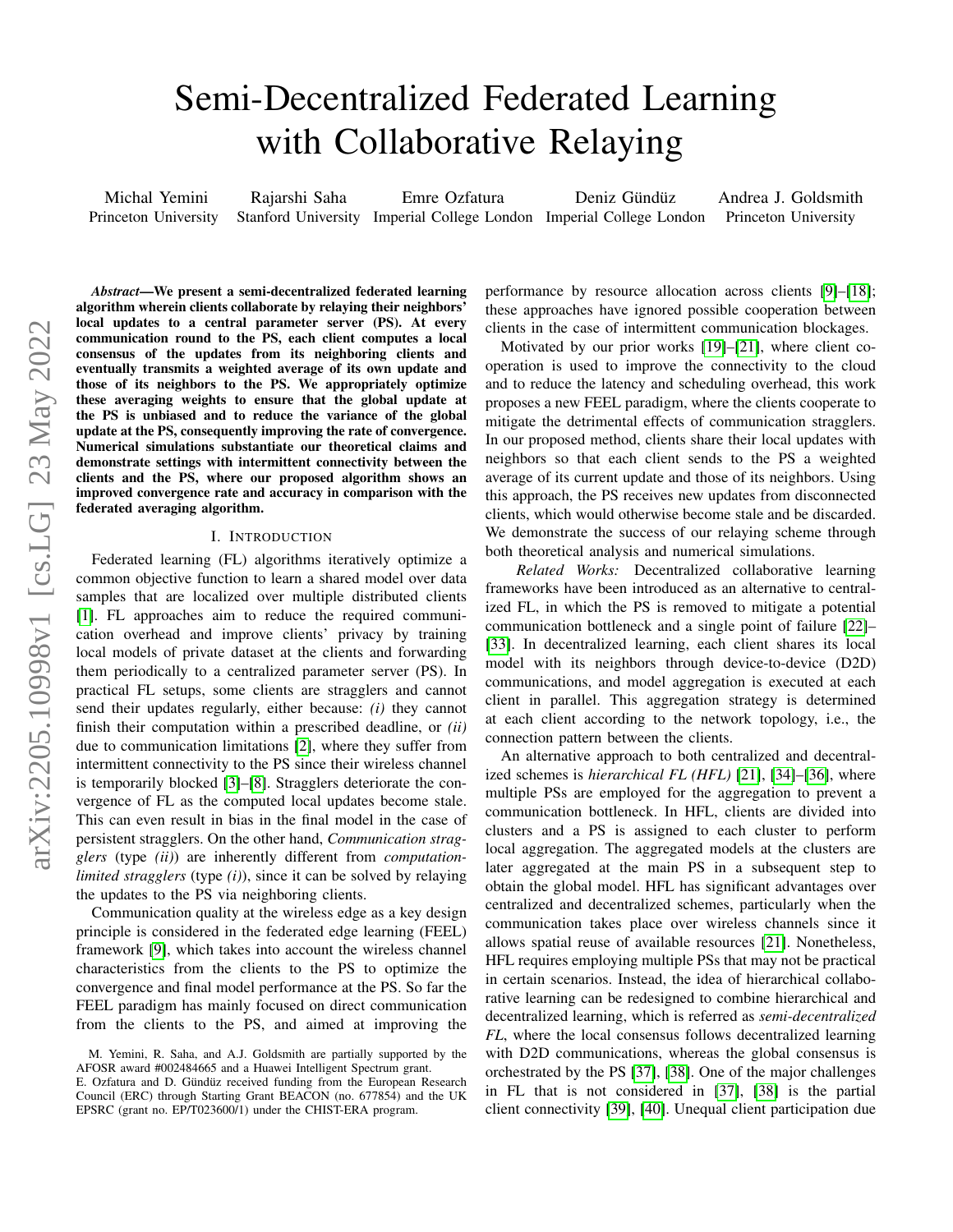# Semi-Decentralized Federated Learning with Collaborative Relaying

Michal Yemini Princeton University Rajarshi Saha Stanford University Imperial College London Imperial College London Emre Ozfatura Deniz Gündüz Andrea J. Goldsmith Princeton University

*Abstract*—We present a semi-decentralized federated learning algorithm wherein clients collaborate by relaying their neighbors' local updates to a central parameter server (PS). At every communication round to the PS, each client computes a local consensus of the updates from its neighboring clients and eventually transmits a weighted average of its own update and those of its neighbors to the PS. We appropriately optimize these averaging weights to ensure that the global update at the PS is unbiased and to reduce the variance of the global update at the PS, consequently improving the rate of convergence. Numerical simulations substantiate our theoretical claims and demonstrate settings with intermittent connectivity between the clients and the PS, where our proposed algorithm shows an improved convergence rate and accuracy in comparison with the federated averaging algorithm.

## I. INTRODUCTION

Federated learning (FL) algorithms iteratively optimize a common objective function to learn a shared model over data samples that are localized over multiple distributed clients [\[1\]](#page-4-0). FL approaches aim to reduce the required communication overhead and improve clients' privacy by training local models of private dataset at the clients and forwarding them periodically to a centralized parameter server (PS). In practical FL setups, some clients are stragglers and cannot send their updates regularly, either because: *(i)* they cannot finish their computation within a prescribed deadline, or *(ii)* due to communication limitations [\[2\]](#page-4-1), where they suffer from intermittent connectivity to the PS since their wireless channel is temporarily blocked [\[3\]](#page-5-0)–[\[8\]](#page-5-1). Stragglers deteriorate the convergence of FL as the computed local updates become stale. This can even result in bias in the final model in the case of persistent stragglers. On the other hand, *Communication stragglers* (type *(ii)*) are inherently different from *computationlimited stragglers* (type *(i)*), since it can be solved by relaying the updates to the PS via neighboring clients.

Communication quality at the wireless edge as a key design principle is considered in the federated edge learning (FEEL) framework [\[9\]](#page-5-2), which takes into account the wireless channel characteristics from the clients to the PS to optimize the convergence and final model performance at the PS. So far the FEEL paradigm has mainly focused on direct communication from the clients to the PS, and aimed at improving the performance by resource allocation across clients [\[9\]](#page-5-2)–[\[18\]](#page-5-3); these approaches have ignored possible cooperation between clients in the case of intermittent communication blockages.

Motivated by our prior works [\[19\]](#page-5-4)–[\[21\]](#page-5-5), where client cooperation is used to improve the connectivity to the cloud and to reduce the latency and scheduling overhead, this work proposes a new FEEL paradigm, where the clients cooperate to mitigate the detrimental effects of communication stragglers. In our proposed method, clients share their local updates with neighbors so that each client sends to the PS a weighted average of its current update and those of its neighbors. Using this approach, the PS receives new updates from disconnected clients, which would otherwise become stale and be discarded. We demonstrate the success of our relaying scheme through both theoretical analysis and numerical simulations.

*Related Works:* Decentralized collaborative learning frameworks have been introduced as an alternative to centralized FL, in which the PS is removed to mitigate a potential communication bottleneck and a single point of failure [\[22\]](#page-5-6)– [\[33\]](#page-5-7). In decentralized learning, each client shares its local model with its neighbors through device-to-device (D2D) communications, and model aggregation is executed at each client in parallel. This aggregation strategy is determined at each client according to the network topology, i.e., the connection pattern between the clients.

An alternative approach to both centralized and decentralized schemes is *hierarchical FL (HFL)* [\[21\]](#page-5-5), [\[34\]](#page-5-8)–[\[36\]](#page-5-9), where multiple PSs are employed for the aggregation to prevent a communication bottleneck. In HFL, clients are divided into clusters and a PS is assigned to each cluster to perform local aggregation. The aggregated models at the clusters are later aggregated at the main PS in a subsequent step to obtain the global model. HFL has significant advantages over centralized and decentralized schemes, particularly when the communication takes place over wireless channels since it allows spatial reuse of available resources [\[21\]](#page-5-5). Nonetheless, HFL requires employing multiple PSs that may not be practical in certain scenarios. Instead, the idea of hierarchical collaborative learning can be redesigned to combine hierarchical and decentralized learning, which is referred as *semi-decentralized FL*, where the local consensus follows decentralized learning with D2D communications, whereas the global consensus is orchestrated by the PS [\[37\]](#page-5-10), [\[38\]](#page-5-11). One of the major challenges in FL that is not considered in [\[37\]](#page-5-10), [\[38\]](#page-5-11) is the partial client connectivity [\[39\]](#page-5-12), [\[40\]](#page-5-13). Unequal client participation due

M. Yemini, R. Saha, and A.J. Goldsmith are partially supported by the AFOSR award #002484665 and a Huawei Intelligent Spectrum grant.

E. Ozfatura and D. Gündüz received funding from the European Research Council (ERC) through Starting Grant BEACON (no. 677854) and the UK EPSRC (grant no. EP/T023600/1) under the CHIST-ERA program.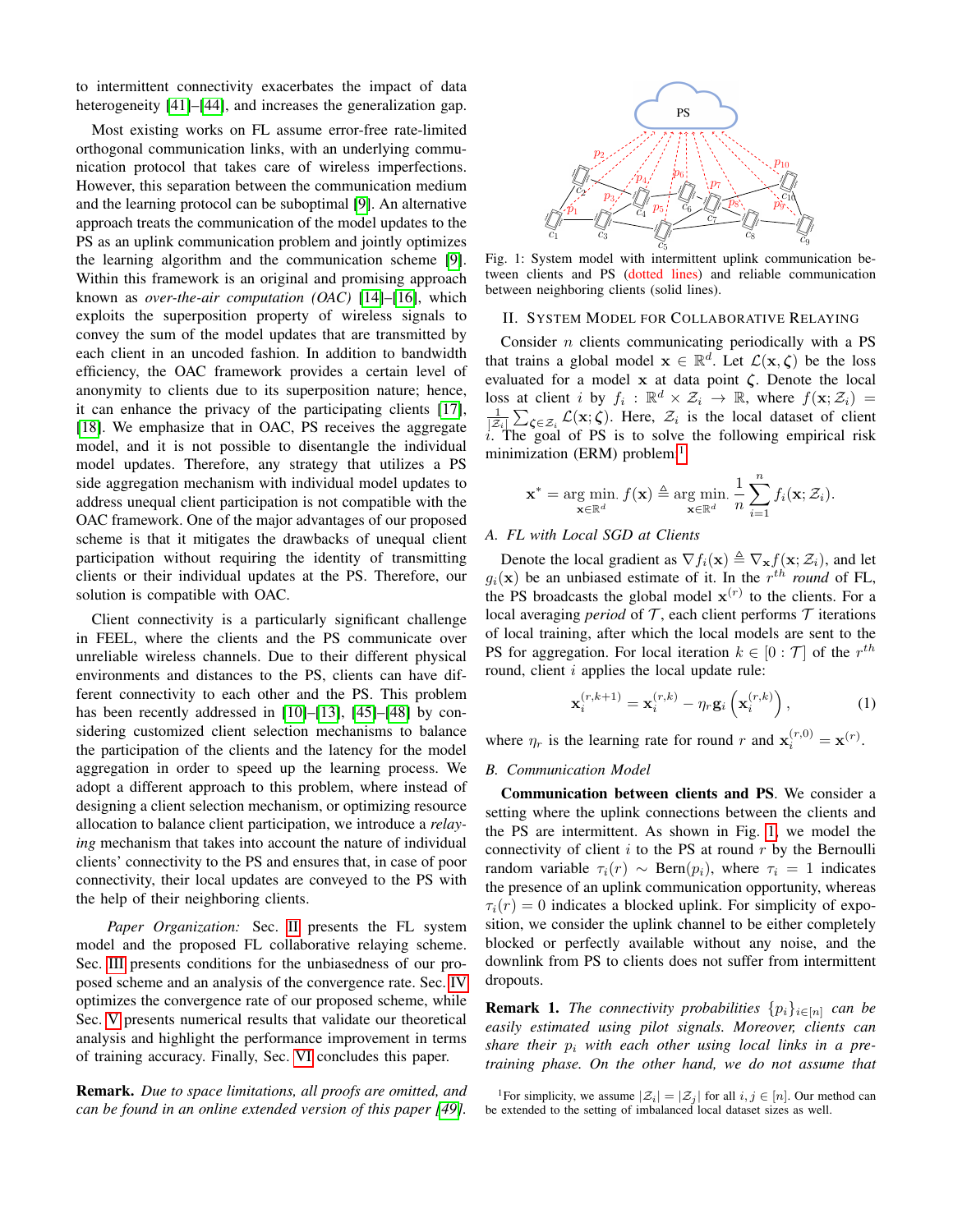to intermittent connectivity exacerbates the impact of data heterogeneity [\[41\]](#page-5-14)–[\[44\]](#page-5-15), and increases the generalization gap.

Most existing works on FL assume error-free rate-limited orthogonal communication links, with an underlying communication protocol that takes care of wireless imperfections. However, this separation between the communication medium and the learning protocol can be suboptimal [\[9\]](#page-5-2). An alternative approach treats the communication of the model updates to the PS as an uplink communication problem and jointly optimizes the learning algorithm and the communication scheme [\[9\]](#page-5-2). Within this framework is an original and promising approach known as *over-the-air computation (OAC)* [\[14\]](#page-5-16)–[\[16\]](#page-5-17), which exploits the superposition property of wireless signals to convey the sum of the model updates that are transmitted by each client in an uncoded fashion. In addition to bandwidth efficiency, the OAC framework provides a certain level of anonymity to clients due to its superposition nature; hence, it can enhance the privacy of the participating clients [\[17\]](#page-5-18), [\[18\]](#page-5-3). We emphasize that in OAC, PS receives the aggregate model, and it is not possible to disentangle the individual model updates. Therefore, any strategy that utilizes a PS side aggregation mechanism with individual model updates to address unequal client participation is not compatible with the OAC framework. One of the major advantages of our proposed scheme is that it mitigates the drawbacks of unequal client participation without requiring the identity of transmitting clients or their individual updates at the PS. Therefore, our solution is compatible with OAC.

Client connectivity is a particularly significant challenge in FEEL, where the clients and the PS communicate over unreliable wireless channels. Due to their different physical environments and distances to the PS, clients can have different connectivity to each other and the PS. This problem has been recently addressed in [\[10\]](#page-5-19)–[\[13\]](#page-5-20), [\[45\]](#page-5-21)–[\[48\]](#page-5-22) by considering customized client selection mechanisms to balance the participation of the clients and the latency for the model aggregation in order to speed up the learning process. We adopt a different approach to this problem, where instead of designing a client selection mechanism, or optimizing resource allocation to balance client participation, we introduce a *relaying* mechanism that takes into account the nature of individual clients' connectivity to the PS and ensures that, in case of poor connectivity, their local updates are conveyed to the PS with the help of their neighboring clients.

*Paper Organization:* Sec. [II](#page-1-0) presents the FL system model and the proposed FL collaborative relaying scheme. Sec. [III](#page-2-0) presents conditions for the unbiasedness of our proposed scheme and an analysis of the convergence rate. Sec. [IV](#page-3-0) optimizes the convergence rate of our proposed scheme, while Sec. [V](#page-3-1) presents numerical results that validate our theoretical analysis and highlight the performance improvement in terms of training accuracy. Finally, Sec. [VI](#page-4-2) concludes this paper.

Remark. *Due to space limitations, all proofs are omitted, and can be found in an online extended version of this paper [\[49\]](#page-5-23).*

<span id="page-1-2"></span>

Fig. 1: System model with intermittent uplink communication between clients and PS (dotted lines) and reliable communication between neighboring clients (solid lines).

### <span id="page-1-0"></span>II. SYSTEM MODEL FOR COLLABORATIVE RELAYING

Consider  $n$  clients communicating periodically with a PS that trains a global model  $\mathbf{x} \in \mathbb{R}^d$ . Let  $\mathcal{L}(\mathbf{x}, \zeta)$  be the loss evaluated for a model  $x$  at data point  $\zeta$ . Denote the local loss at client i by  $f_i : \mathbb{R}^d \times \mathcal{Z}_i \to \mathbb{R}$ , where  $f(\mathbf{x}; \mathcal{Z}_i) =$  $\frac{1}{|\mathcal{Z}_i|} \sum_{\zeta \in \mathcal{Z}_i} \mathcal{L}(\mathbf{x}; \zeta)$ . Here,  $\mathcal{Z}_i$  is the local dataset of client  $\vec{i}$ . The goal of PS is to solve the following empirical risk minimization (ERM) problem:<sup>[1](#page-1-1)</sup>

$$
\mathbf{x}^* = \argmin_{\mathbf{x} \in \mathbb{R}^d} f(\mathbf{x}) \triangleq \argmin_{\mathbf{x} \in \mathbb{R}^d} \frac{1}{n} \sum_{i=1}^n f_i(\mathbf{x}; \mathcal{Z}_i).
$$

### *A. FL with Local SGD at Clients*

Denote the local gradient as  $\nabla f_i(\mathbf{x}) \triangleq \nabla_{\mathbf{x}} f(\mathbf{x}; \mathcal{Z}_i)$ , and let  $g_i(\mathbf{x})$  be an unbiased estimate of it. In the  $r^{th}$  *round* of FL, the PS broadcasts the global model  $\mathbf{x}^{(r)}$  to the clients. For a local averaging *period* of  $T$ , each client performs  $T$  iterations of local training, after which the local models are sent to the PS for aggregation. For local iteration  $k \in [0 : \mathcal{T}]$  of the  $r^{th}$ round, client i applies the local update rule:

$$
\mathbf{x}_{i}^{(r,k+1)} = \mathbf{x}_{i}^{(r,k)} - \eta_r \mathbf{g}_i \left( \mathbf{x}_{i}^{(r,k)} \right), \tag{1}
$$

where  $\eta_r$  is the learning rate for round r and  $\mathbf{x}_i^{(r,0)} = \mathbf{x}^{(r)}$ .

## *B. Communication Model*

Communication between clients and PS. We consider a setting where the uplink connections between the clients and the PS are intermittent. As shown in Fig. [1,](#page-1-2) we model the connectivity of client  $i$  to the PS at round  $r$  by the Bernoulli random variable  $\tau_i(r) \sim \text{Bern}(p_i)$ , where  $\tau_i = 1$  indicates the presence of an uplink communication opportunity, whereas  $\tau_i(r) = 0$  indicates a blocked uplink. For simplicity of exposition, we consider the uplink channel to be either completely blocked or perfectly available without any noise, and the downlink from PS to clients does not suffer from intermittent dropouts.

**Remark 1.** *The connectivity probabilities*  $\{p_i\}_{i \in [n]}$  *can be easily estimated using pilot signals. Moreover, clients can* share their  $p_i$  with each other using local links in a pre*training phase. On the other hand, we do not assume that*

<span id="page-1-1"></span><sup>&</sup>lt;sup>1</sup>For simplicity, we assume  $|\mathcal{Z}_i| = |\mathcal{Z}_i|$  for all  $i, j \in [n]$ . Our method can be extended to the setting of imbalanced local dataset sizes as well.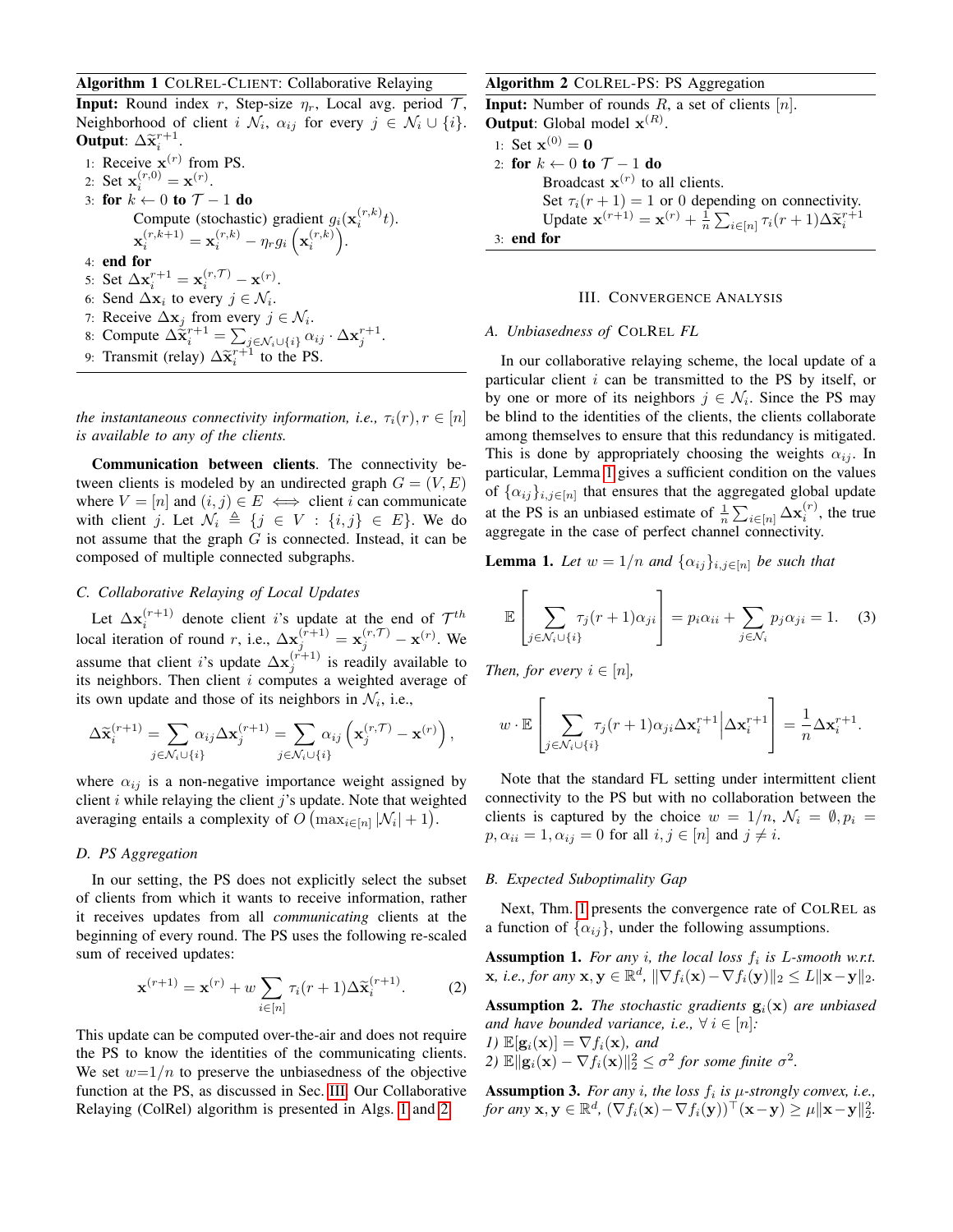## <span id="page-2-1"></span>Algorithm 1 COLREL-CLIENT: Collaborative Relaying

**Input:** Round index r, Step-size  $\eta_r$ , Local avg. period  $\mathcal{T}$ , Neighborhood of client  $i \mathcal{N}_i$ ,  $\alpha_{ij}$  for every  $j \in \mathcal{N}_i \cup \{i\}$ . Output:  $\Delta \widetilde{\mathbf{x}}_i^{r+1}$ .

1: Receive  $\mathbf{x}^{(r)}$  from PS. 2: Set  $\mathbf{x}_i^{(r,0)} = \mathbf{x}^{(r)}$ . 3: for  $k \leftarrow 0$  to  $\mathcal{T} - 1$  do Compute (stochastic) gradient  $g_i(\mathbf{x}_i^{(r,k)}t)$ .  $\mathbf{x}_{i}^{(r,k+1)} = \mathbf{x}_{i}^{(r,k)} - \eta_{r}g_{i}\left(\mathbf{x}_{i}^{(r,k)}\right).$ 4: end for 5: Set  $\Delta \mathbf{x}_i^{r+1} = \mathbf{x}_i^{(r, \mathcal{T})} - \mathbf{x}^{(r)}$ . 6: Send  $\Delta \mathbf{x}_i$  to every  $j \in \mathcal{N}_i$ . 7: Receive  $\Delta \mathbf{x}_j$  from every  $j \in \mathcal{N}_i$ . 8: Compute  $\Delta \tilde{\mathbf{x}}_i^{r+1} = \sum_{j \in \mathcal{N}_i \cup \{i\}} \alpha_{ij} \cdot \Delta \mathbf{x}_j^{r+1}.$ 9: Transmit (relay)  $\Delta \tilde{\mathbf{x}}_i^{r+1}$  to the PS.

*the instantaneous connectivity information, i.e.,*  $\tau_i(r)$ ,  $r \in [n]$ *is available to any of the clients.*

Communication between clients. The connectivity between clients is modeled by an undirected graph  $G = (V, E)$ where  $V = [n]$  and  $(i, j) \in E \iff$  client i can communicate with client j. Let  $\mathcal{N}_i \triangleq \{j \in V : \{i, j\} \in E\}$ . We do not assume that the graph  $G$  is connected. Instead, it can be composed of multiple connected subgraphs.

# *C. Collaborative Relaying of Local Updates*

Let  $\Delta \mathbf{x}_i^{(r+1)}$  denote client *i*'s update at the end of  $\mathcal{T}^{th}$ local iteration of round r, i.e.,  $\Delta \mathbf{x}_j^{(r+1)} = \mathbf{x}_j^{(r,\mathcal{T})} - \mathbf{x}^{(r)}$ . We assume that client *i*'s update  $\Delta x_j^{(r+1)}$  is readily available to its neighbors. Then client  $i$  computes a weighted average of its own update and those of its neighbors in  $\mathcal{N}_i$ , i.e.,

$$
\Delta \widetilde{\mathbf{x}}_i^{(r+1)} = \sum_{j \in \mathcal{N}_i \cup \{i\}} \alpha_{ij} \Delta \mathbf{x}_j^{(r+1)} = \sum_{j \in \mathcal{N}_i \cup \{i\}} \alpha_{ij} \left( \mathbf{x}_j^{(r,\mathcal{T})} - \mathbf{x}^{(r)} \right),
$$

where  $\alpha_{ij}$  is a non-negative importance weight assigned by client  $i$  while relaying the client  $j$ 's update. Note that weighted averaging entails a complexity of  $O(\max_{i \in [n]} |\mathcal{N}_i| + 1)$ .

## *D. PS Aggregation*

In our setting, the PS does not explicitly select the subset of clients from which it wants to receive information, rather it receives updates from all *communicating* clients at the beginning of every round. The PS uses the following re-scaled sum of received updates:

$$
\mathbf{x}^{(r+1)} = \mathbf{x}^{(r)} + w \sum_{i \in [n]} \tau_i(r+1) \Delta \tilde{\mathbf{x}}_i^{(r+1)}.
$$
 (2)

This update can be computed over-the-air and does not require the PS to know the identities of the communicating clients. We set  $w=1/n$  to preserve the unbiasedness of the objective function at the PS, as discussed in Sec. [III.](#page-2-0) Our Collaborative Relaying (ColRel) algorithm is presented in Algs. [1](#page-2-1) and [2.](#page-2-2)

## <span id="page-2-2"></span>Algorithm 2 COLREL-PS: PS Aggregation

**Input:** Number of rounds  $R$ , a set of clients  $[n]$ . **Output:** Global model  $\mathbf{x}^{(R)}$ . 1: Set  $x^{(0)} = 0$ 2: for  $k \leftarrow 0$  to  $\mathcal{T} - 1$  do Broadcast  $\mathbf{x}^{(r)}$  to all clients. Set  $\tau_i(r+1) = 1$  or 0 depending on connectivity. Update  $\mathbf{x}^{(r+1)} = \mathbf{x}^{(r)} + \frac{1}{n} \sum_{i \in [n]} \tau_i(r+1) \Delta \tilde{\mathbf{x}}_i^{r+1}$ 3: end for

## III. CONVERGENCE ANALYSIS

## <span id="page-2-0"></span>*A. Unbiasedness of* COLREL *FL*

In our collaborative relaying scheme, the local update of a particular client  $i$  can be transmitted to the PS by itself, or by one or more of its neighbors  $j \in \mathcal{N}_i$ . Since the PS may be blind to the identities of the clients, the clients collaborate among themselves to ensure that this redundancy is mitigated. This is done by appropriately choosing the weights  $\alpha_{ij}$ . In particular, Lemma [1](#page-2-3) gives a sufficient condition on the values of  $\{\alpha_{ij}\}_{i,j\in[n]}$  that ensures that the aggregated global update at the PS is an unbiased estimate of  $\frac{1}{n} \sum_{i \in [n]} \Delta \mathbf{x}_i^{(r)}$ , the true aggregate in the case of perfect channel connectivity.

<span id="page-2-3"></span>**Lemma 1.** Let  $w = 1/n$  and  $\{\alpha_{ij}\}_{i,j\in[n]}$  be such that

<span id="page-2-6"></span>
$$
\mathbb{E}\left[\sum_{j\in\mathcal{N}_i\cup\{i\}}\tau_j(r+1)\alpha_{ji}\right] = p_i\alpha_{ii} + \sum_{j\in\mathcal{N}_i}p_j\alpha_{ji} = 1. \quad (3)
$$

*Then, for every*  $i \in [n]$ *,* 

$$
w \cdot \mathbb{E}\left[\sum_{j \in \mathcal{N}_i \cup \{i\}} \tau_j(r+1) \alpha_{ji} \Delta \mathbf{x}_i^{r+1} \middle| \Delta \mathbf{x}_i^{r+1}\right] = \frac{1}{n} \Delta \mathbf{x}_i^{r+1}.
$$

Note that the standard FL setting under intermittent client connectivity to the PS but with no collaboration between the clients is captured by the choice  $w = 1/n$ ,  $\mathcal{N}_i = \emptyset$ ,  $p_i =$  $p, \alpha_{ii} = 1, \alpha_{ij} = 0$  for all  $i, j \in [n]$  and  $j \neq i$ .

## *B. Expected Suboptimality Gap*

Next, Thm. [1](#page-3-2) presents the convergence rate of COLREL as a function of  $\{\alpha_{ij}\}\$ , under the following assumptions.

<span id="page-2-4"></span>Assumption 1. *For any i, the local loss*  $f_i$  *is L-smooth w.r.t.*  $\mathbf{x}, \text{ i.e., for any } \mathbf{x}, \mathbf{y} \in \mathbb{R}^d, \|\nabla f_i(\mathbf{x}) - \nabla f_i(\mathbf{y})\|_2 \leq L \|\mathbf{x} - \mathbf{y}\|_2.$ 

**Assumption 2.** *The stochastic gradients*  $g_i(x)$  *are unbiased and have bounded variance, i.e.,*  $\forall i \in [n]:$ 

*1*)  $\mathbb{E}[\mathbf{g}_i(\mathbf{x})] = \nabla f_i(\mathbf{x})$ , and 2)  $\mathbb{E} \|\mathbf{g}_i(\mathbf{x}) - \nabla f_i(\mathbf{x})\|_2^2 \le \sigma^2$  for some finite  $\sigma^2$ .

<span id="page-2-5"></span>Assumption 3. For any  $i$ , the loss  $f_i$  is  $\mu$ -strongly convex, i.e., *for any*  $\mathbf{x}, \mathbf{y} \in \mathbb{R}^d$ ,  $(\nabla f_i(\mathbf{x}) - \nabla f_i(\mathbf{y}))^\top (\mathbf{x} - \mathbf{y}) \ge \mu \|\mathbf{x} - \mathbf{y}\|_2^2$ .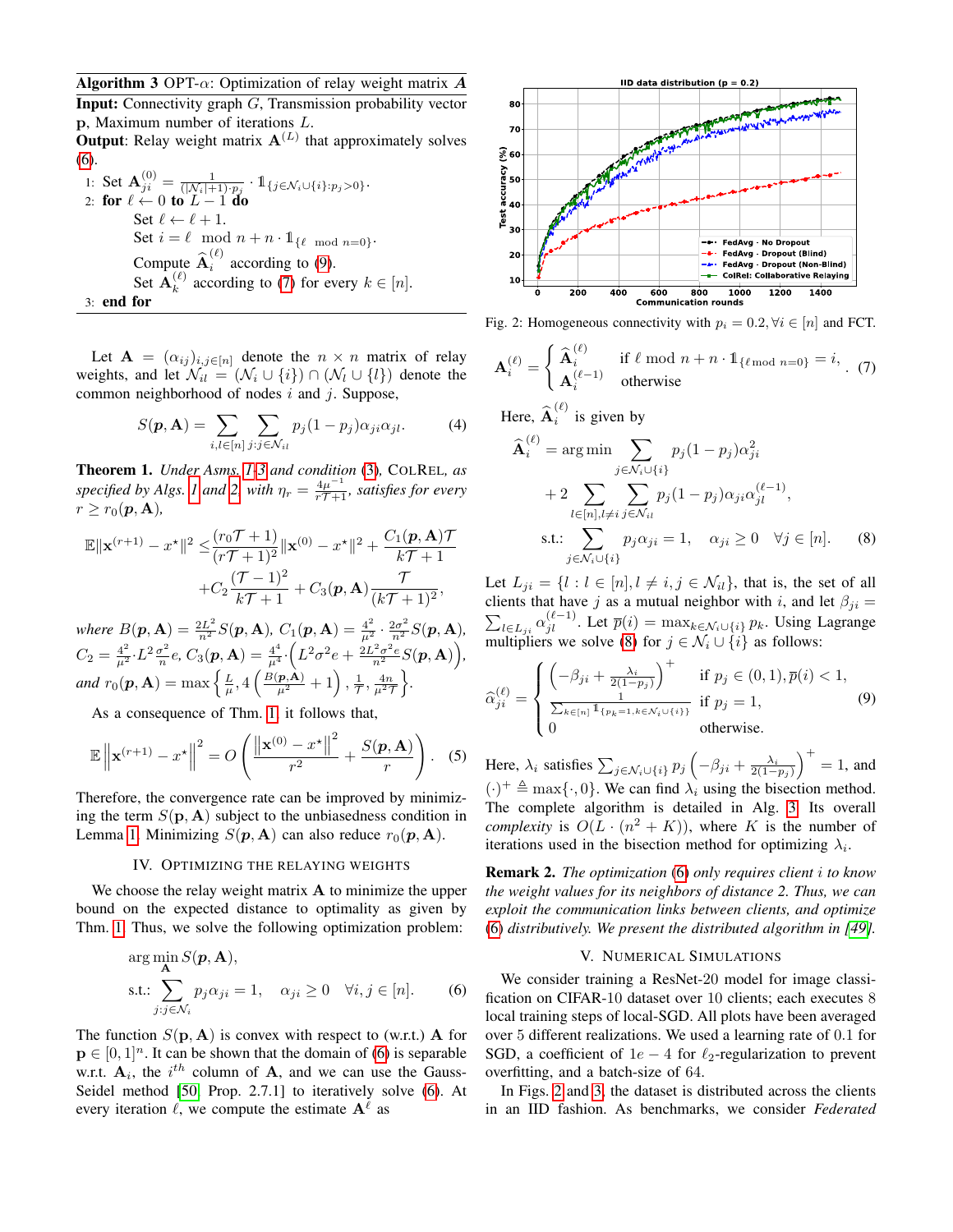<span id="page-3-7"></span>**Algorithm 3** OPT- $\alpha$ : Optimization of relay weight matrix A

Input: Connectivity graph G, Transmission probability vector p, Maximum number of iterations L.

**Output**: Relay weight matrix  $A<sup>(L)</sup>$  that approximately solves [\(6\)](#page-3-3).

1: Set  $\mathbf{A}_{ji}^{(0)} = \frac{1}{(|\mathcal{N}_i|+1)\cdot p_j} \cdot \mathbb{1}_{\{j \in \mathcal{N}_i \cup \{i\}: p_j > 0\}}.$ 2: for  $\ell \leftarrow 0$  to  $L - 1$  do Set  $\ell \leftarrow \ell + 1$ . Set  $i = \ell \mod n + n \cdot 1_{\{\ell \mod n = 0\}}$ . Compute  $\widehat{\mathbf{A}}_i^{(\ell)}$  $i$  according to [\(9\)](#page-3-4). Set  $\mathbf{A}_k^{(\ell)}$  $\binom{k}{k}$  according to [\(7\)](#page-3-5) for every  $k \in [n]$ . 3: end for

Let  $\mathbf{A} = (\alpha_{ij})_{i,j \in [n]}$  denote the  $n \times n$  matrix of relay weights, and let  $\mathcal{N}_{il} = (\mathcal{N}_i \cup \{i\}) \cap (\mathcal{N}_l \cup \{l\})$  denote the common neighborhood of nodes  $i$  and  $j$ . Suppose,

$$
S(\mathbf{p}, \mathbf{A}) = \sum_{i,l \in [n]} \sum_{j:j \in \mathcal{N}_{il}} p_j (1 - p_j) \alpha_{ji} \alpha_{jl}.
$$
 (4)

<span id="page-3-2"></span>Theorem 1. *Under Asms. [1](#page-2-4)[-3](#page-2-5) and condition* [\(3\)](#page-2-6)*,* COLREL*, as specified by Algs. 1 and [2,](#page-2-2) with*  $\eta_r = \frac{4\mu^{-1}}{r\mathcal{T}+1}$ *, satisfies for every*  $r \geq r_0(\mathbf{p}, \mathbf{A}),$ 

$$
\mathbb{E} \|\mathbf{x}^{(r+1)} - x^{\star}\|^2 \leq \frac{(r_0 \mathcal{T} + 1)}{(r\mathcal{T} + 1)^2} \|\mathbf{x}^{(0)} - x^{\star}\|^2 + \frac{C_1(\mathbf{p}, \mathbf{A})\mathcal{T}}{k\mathcal{T} + 1} + C_2 \frac{(\mathcal{T} - 1)^2}{k\mathcal{T} + 1} + C_3(\mathbf{p}, \mathbf{A}) \frac{\mathcal{T}}{(k\mathcal{T} + 1)^2},
$$

*where*  $B(\mathbf{p}, \mathbf{A}) = \frac{2L^2}{n^2} S(\mathbf{p}, \mathbf{A}), C_1(\mathbf{p}, \mathbf{A}) = \frac{4^2}{\mu^2} \cdot \frac{2\sigma^2}{n^2} S(\mathbf{p}, \mathbf{A}),$  $C_2 = \frac{4^2}{\mu^2} \cdot L^2 \frac{\sigma^2}{n}$  $\frac{\sigma^2}{n}e$ ,  $C_3(\boldsymbol{p}, \mathbf{A}) = \frac{4^4}{\mu^4} \cdot \Big(L^2\sigma^2 e + \frac{2L^2\sigma^2 e}{n^2} S(\boldsymbol{p}, \mathbf{A})\Big),$ *and*  $r_0(\mathbf{p}, \mathbf{A}) = \max \left\{ \frac{L}{\mu}, 4 \left( \frac{B(\mathbf{p}, \mathbf{A})}{\mu^2} + 1 \right), \frac{1}{T}, \frac{4n}{\mu^2 T} \right\}.$ 

As a consequence of Thm. [1,](#page-3-2) it follows that,

$$
\mathbb{E}\left\|\mathbf{x}^{(r+1)} - x^{\star}\right\|^2 = O\left(\frac{\left\|\mathbf{x}^{(0)} - x^{\star}\right\|^2}{r^2} + \frac{S(\mathbf{p}, \mathbf{A})}{r}\right). \quad (5)
$$

Therefore, the convergence rate can be improved by minimizing the term  $S(\mathbf{p}, \mathbf{A})$  subject to the unbiasedness condition in Lemma [1.](#page-2-3) Minimizing  $S(\mathbf{p}, \mathbf{A})$  can also reduce  $r_0(\mathbf{p}, \mathbf{A})$ .

#### IV. OPTIMIZING THE RELAYING WEIGHTS

<span id="page-3-0"></span>We choose the relay weight matrix  $A$  to minimize the upper bound on the expected distance to optimality as given by Thm. [1.](#page-3-2) Thus, we solve the following optimization problem:

$$
\arg\min_{\mathbf{A}} S(\mathbf{p}, \mathbf{A}),
$$
  
s.t.: 
$$
\sum_{j:j \in \mathcal{N}_i} p_j \alpha_{ji} = 1, \quad \alpha_{ji} \ge 0 \quad \forall i, j \in [n].
$$
 (6)

The function  $S(\mathbf{p}, \mathbf{A})$  is convex with respect to (w.r.t.) **A** for  $\mathbf{p} \in [0, 1]^n$ . It can be shown that the domain of [\(6\)](#page-3-3) is separable w.r.t.  $A_i$ , the i<sup>th</sup> column of A, and we can use the Gauss-Seidel method [\[50,](#page-5-24) Prop. 2.7.1] to iteratively solve [\(6\)](#page-3-3). At every iteration  $\ell$ , we compute the estimate  $A^{\ell}$  as

<span id="page-3-8"></span>

Fig. 2: Homogeneous connectivity with  $p_i = 0.2, \forall i \in [n]$  and FCT.

$$
\mathbf{A}_{i}^{(\ell)} = \begin{cases} \hat{\mathbf{A}}_{i}^{(\ell)} & \text{if } \ell \text{ mod } n + n \cdot \mathbb{1}_{\{\ell \text{ mod } n = 0\}} = i, \\ \mathbf{A}_{i}^{(\ell-1)} & \text{otherwise} \end{cases}
$$
(7)

Here, 
$$
\widehat{\mathbf{A}}_i^{(\ell)}
$$
 is given by

<span id="page-3-6"></span><span id="page-3-5"></span>
$$
\widehat{\mathbf{A}}_i^{(\ell)} = \arg \min \sum_{j \in \mathcal{N}_i \cup \{i\}} p_j (1 - p_j) \alpha_{ji}^2
$$
  
+2 
$$
\sum_{l \in [n], l \neq i} \sum_{j \in \mathcal{N}_{il}} p_j (1 - p_j) \alpha_{ji} \alpha_{jl}^{(\ell - 1)},
$$
s.t.: 
$$
\sum_{j \in \mathcal{N}_i \cup \{i\}} p_j \alpha_{ji} = 1, \quad \alpha_{ji} \ge 0 \quad \forall j \in [n].
$$
 (8)

Let  $L_{ji} = \{l : l \in [n], l \neq i, j \in \mathcal{N}_{il}\}\$ , that is, the set of all clients that have j as a mutual neighbor with i, and let  $\beta_{ji} =$  $\sum_{l \in L_{ji}} \alpha_{jl}^{(\ell-1)}$ . Let  $\bar{p}(i) = \max_{k \in \mathcal{N}_i \cup \{i\}} p_k$ . Using Lagrange multipliers we solve [\(8\)](#page-3-6) for  $j \in \mathcal{N}_i \cup \{i\}$  as follows:

<span id="page-3-4"></span>
$$
\widehat{\alpha}_{ji}^{(\ell)} = \begin{cases}\n\left(-\beta_{ji} + \frac{\lambda_i}{2(1-p_j)}\right)^+ & \text{if } p_j \in (0,1), \overline{p}(i) < 1, \\
\frac{1}{\sum_{k \in [n]} 1_{\{p_k = 1, k \in \mathcal{N}_i \cup \{i\}\}}} & \text{if } p_j = 1, \\
0 & \text{otherwise.} \n\end{cases}
$$
\n(9)

Here,  $\lambda_i$  satisfies  $\sum_{j \in \mathcal{N}_i \cup \{i\}} p_j \left( -\beta_{ji} + \frac{\lambda_i}{2(1-p_j)} \right)^+ = 1$ , and  $(\cdot)^+ \triangleq \max{\{\cdot, 0\}}$ . We can find  $\lambda_i$  using the bisection method. The complete algorithm is detailed in Alg. [3.](#page-3-7) Its overall *complexity* is  $O(L \cdot (n^2 + K))$ , where K is the number of iterations used in the bisection method for optimizing  $\lambda_i$ .

Remark 2. *The optimization* [\(6\)](#page-3-3) *only requires client* i *to know the weight values for its neighbors of distance 2. Thus, we can exploit the communication links between clients, and optimize* [\(6\)](#page-3-3) *distributively. We present the distributed algorithm in [\[49\]](#page-5-23)*.

## V. NUMERICAL SIMULATIONS

<span id="page-3-3"></span><span id="page-3-1"></span>We consider training a ResNet-20 model for image classification on CIFAR-10 dataset over 10 clients; each executes 8 local training steps of local-SGD. All plots have been averaged over 5 different realizations. We used a learning rate of 0.1 for SGD, a coefficient of  $1e - 4$  for  $\ell_2$ -regularization to prevent overfitting, and a batch-size of 64.

In Figs. [2](#page-3-8) and [3,](#page-4-3) the dataset is distributed across the clients in an IID fashion. As benchmarks, we consider *Federated*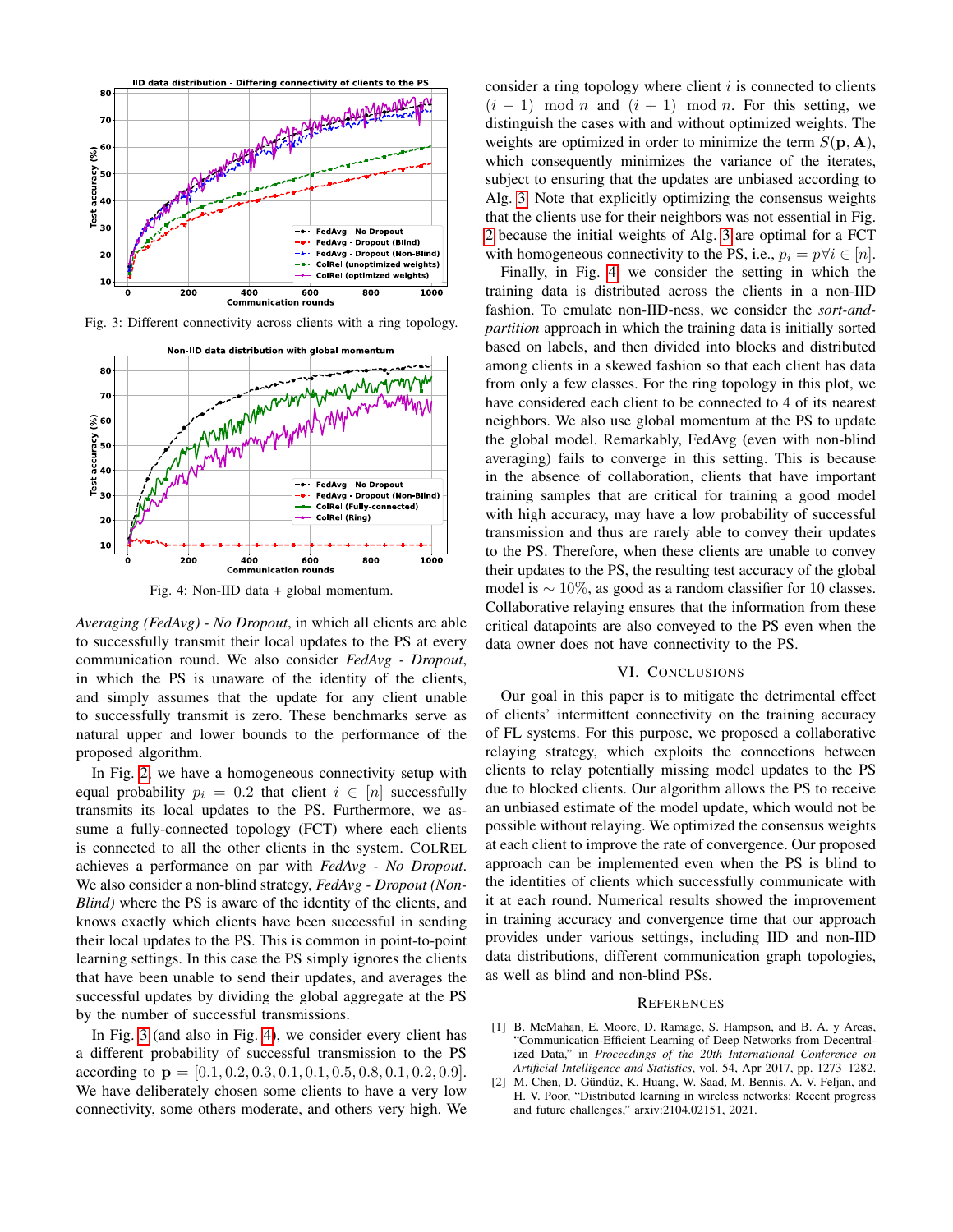<span id="page-4-3"></span>

<span id="page-4-4"></span>Fig. 3: Different connectivity across clients with a ring topology.



Fig. 4: Non-IID data + global momentum.

*Averaging (FedAvg) - No Dropout*, in which all clients are able to successfully transmit their local updates to the PS at every communication round. We also consider *FedAvg - Dropout*, in which the PS is unaware of the identity of the clients, and simply assumes that the update for any client unable to successfully transmit is zero. These benchmarks serve as natural upper and lower bounds to the performance of the proposed algorithm.

In Fig. [2,](#page-3-8) we have a homogeneous connectivity setup with equal probability  $p_i = 0.2$  that client  $i \in [n]$  successfully transmits its local updates to the PS. Furthermore, we assume a fully-connected topology (FCT) where each clients is connected to all the other clients in the system. COLREL achieves a performance on par with *FedAvg - No Dropout*. We also consider a non-blind strategy, *FedAvg - Dropout (Non-Blind)* where the PS is aware of the identity of the clients, and knows exactly which clients have been successful in sending their local updates to the PS. This is common in point-to-point learning settings. In this case the PS simply ignores the clients that have been unable to send their updates, and averages the successful updates by dividing the global aggregate at the PS by the number of successful transmissions.

In Fig. [3](#page-4-3) (and also in Fig. [4\)](#page-4-4), we consider every client has a different probability of successful transmission to the PS according to  $\mathbf{p} = [0.1, 0.2, 0.3, 0.1, 0.1, 0.5, 0.8, 0.1, 0.2, 0.9].$ We have deliberately chosen some clients to have a very low connectivity, some others moderate, and others very high. We consider a ring topology where client  $i$  is connected to clients  $(i - 1) \mod n$  and  $(i + 1) \mod n$ . For this setting, we distinguish the cases with and without optimized weights. The weights are optimized in order to minimize the term  $S(\mathbf{p}, \mathbf{A})$ , which consequently minimizes the variance of the iterates, subject to ensuring that the updates are unbiased according to Alg. [3.](#page-3-7) Note that explicitly optimizing the consensus weights that the clients use for their neighbors was not essential in Fig. [2](#page-3-8) because the initial weights of Alg. [3](#page-3-7) are optimal for a FCT with homogeneous connectivity to the PS, i.e.,  $p_i = p \forall i \in [n]$ .

Finally, in Fig. [4,](#page-4-4) we consider the setting in which the training data is distributed across the clients in a non-IID fashion. To emulate non-IID-ness, we consider the *sort-andpartition* approach in which the training data is initially sorted based on labels, and then divided into blocks and distributed among clients in a skewed fashion so that each client has data from only a few classes. For the ring topology in this plot, we have considered each client to be connected to 4 of its nearest neighbors. We also use global momentum at the PS to update the global model. Remarkably, FedAvg (even with non-blind averaging) fails to converge in this setting. This is because in the absence of collaboration, clients that have important training samples that are critical for training a good model with high accuracy, may have a low probability of successful transmission and thus are rarely able to convey their updates to the PS. Therefore, when these clients are unable to convey their updates to the PS, the resulting test accuracy of the global model is  $\sim 10\%$ , as good as a random classifier for 10 classes. Collaborative relaying ensures that the information from these critical datapoints are also conveyed to the PS even when the data owner does not have connectivity to the PS.

#### VI. CONCLUSIONS

<span id="page-4-2"></span>Our goal in this paper is to mitigate the detrimental effect of clients' intermittent connectivity on the training accuracy of FL systems. For this purpose, we proposed a collaborative relaying strategy, which exploits the connections between clients to relay potentially missing model updates to the PS due to blocked clients. Our algorithm allows the PS to receive an unbiased estimate of the model update, which would not be possible without relaying. We optimized the consensus weights at each client to improve the rate of convergence. Our proposed approach can be implemented even when the PS is blind to the identities of clients which successfully communicate with it at each round. Numerical results showed the improvement in training accuracy and convergence time that our approach provides under various settings, including IID and non-IID data distributions, different communication graph topologies, as well as blind and non-blind PSs.

#### **REFERENCES**

- <span id="page-4-0"></span>[1] B. McMahan, E. Moore, D. Ramage, S. Hampson, and B. A. y Arcas, "Communication-Efficient Learning of Deep Networks from Decentralized Data," in *Proceedings of the 20th International Conference on Artificial Intelligence and Statistics*, vol. 54, Apr 2017, pp. 1273–1282.
- <span id="page-4-1"></span>[2] M. Chen, D. Gündüz, K. Huang, W. Saad, M. Bennis, A. V. Feljan, and H. V. Poor, "Distributed learning in wireless networks: Recent progress and future challenges," arxiv:2104.02151, 2021.